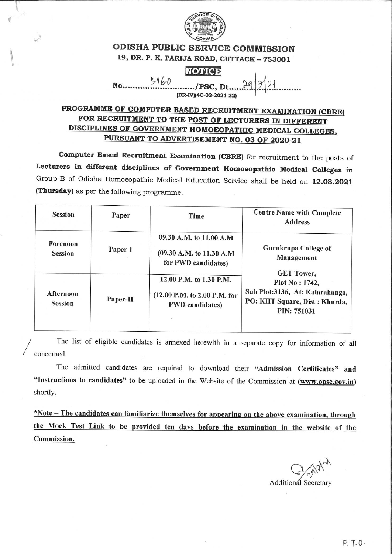

## **ODISHA PUBLIC SERVICE COMMISSION** 19, DR. P. K. PARIJA ROAD, CUTTACK - 753001

# **NOTICE**

5160  $No$ .....

/PSC, Dt..

# PROGRAMME OF COMPUTER BASED RECRUITMENT EXAMINATION (CBRE) FOR RECRUITMENT TO THE POST OF LECTURERS IN DIFFERENT DISCIPLINES OF GOVERNMENT HOMOEOPATHIC MEDICAL COLLEGES, PURSUANT TO ADVERTISEMENT NO. 03 OF 2020-21

Computer Based Recruitment Examination (CBRE) for recruitment to the posts of Lecturers in different disciplines of Government Homoeopathic Medical Colleges in Group-B of Odisha Homoeopathic Medical Education Service shall be held on 12.08.2021 (Thursday) as per the following programme.

| <b>Session</b>              | Paper    | Time                                                                                                             | <b>Centre Name with Complete</b><br><b>Address</b>                                                                              |
|-----------------------------|----------|------------------------------------------------------------------------------------------------------------------|---------------------------------------------------------------------------------------------------------------------------------|
| Forenoon<br><b>Session</b>  | Paper-I  | 09.30 A.M. to 11.00 A.M<br>Gurukrupa College of<br>(09.30 A.M. to 11.30 A.M<br>Management<br>for PWD candidates) |                                                                                                                                 |
| Afternoon<br><b>Session</b> | Paper-II | 12.00 P.M. to 1.30 P.M.<br>(12.00 P.M. to 2.00 P.M. for<br><b>PWD</b> candidates)                                | <b>GET Tower,</b><br>Plot No: 1742,<br>Sub Plot:3136, At: Kalarahanga,<br>PO: KIIT Square, Dist : Khurda,<br><b>PIN: 751031</b> |

The list of eligible candidates is annexed herewith in a separate copy for information of all concerned.

The admitted candidates are required to download their "Admission Certificates" and "Instructions to candidates" to be uploaded in the Website of the Commission at (www.opsc.gov.in) shortly.

\*Note – The candidates can familiarize themselves for appearing on the above examination, through the Mock Test Link to be provided ten days before the examination in the website of the Commission.

Additional Secretary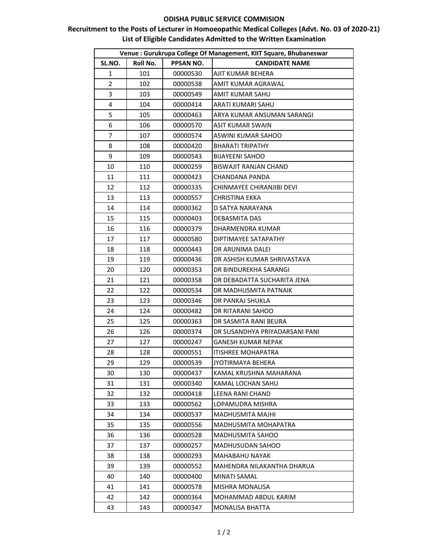#### **ODISHA PUBLIC SERVICE COMMISION**

## **Recruitment to the Posts of Lecturer in Homoeopathic Medical Colleges (Advt. No. 03 of 2020-21) List of Eligible Candidates Admitted to the Written Examination**

| Venue : Gurukrupa College Of Management, KIIT Square, Bhubaneswar |          |                  |                                |  |  |
|-------------------------------------------------------------------|----------|------------------|--------------------------------|--|--|
| SL.NO.                                                            | Roll No. | <b>PPSAN NO.</b> | <b>CANDIDATE NAME</b>          |  |  |
| 1                                                                 | 101      | 00000530         | AJIT KUMAR BEHERA              |  |  |
| $\overline{2}$                                                    | 102      | 00000538         | AMIT KUMAR AGRAWAL             |  |  |
| 3                                                                 | 103      | 00000549         | AMIT KUMAR SAHU                |  |  |
| 4                                                                 | 104      | 00000414         | ARATI KUMARI SAHU              |  |  |
| 5                                                                 | 105      | 00000463         | ARYA KUMAR ANSUMAN SARANGI     |  |  |
| 6                                                                 | 106      | 00000570         | ASIT KUMAR SWAIN               |  |  |
| 7                                                                 | 107      | 00000574         | ASWINI KUMAR SAHOO             |  |  |
| 8                                                                 | 108      | 00000420         | <b>BHARATI TRIPATHY</b>        |  |  |
| 9                                                                 | 109      | 00000543         | <b>BIJAYEENI SAHOO</b>         |  |  |
| 10                                                                | 110      | 00000259         | <b>BISWAJIT RANJAN CHAND</b>   |  |  |
| 11                                                                | 111      | 00000423         | CHANDANA PANDA                 |  |  |
| 12                                                                | 112      | 00000335         | CHINMAYEE CHIRANJIBI DEVI      |  |  |
| 13                                                                | 113      | 00000557         | <b>CHRISTINA EKKA</b>          |  |  |
| 14                                                                | 114      | 00000362         | D SATYA NARAYANA               |  |  |
| 15                                                                | 115      | 00000403         | <b>DEBASMITA DAS</b>           |  |  |
| 16                                                                | 116      | 00000379         | DHARMENDRA KUMAR               |  |  |
| 17                                                                | 117      | 00000580         | DIPTIMAYEE SATAPATHY           |  |  |
| 18                                                                | 118      | 00000443         | DR ARUNIMA DALEI               |  |  |
| 19                                                                | 119      | 00000436         | DR ASHISH KUMAR SHRIVASTAVA    |  |  |
| 20                                                                | 120      | 00000353         | DR BINDUREKHA SARANGI          |  |  |
| 21                                                                | 121      | 00000358         | DR DEBADATTA SUCHARITA JENA    |  |  |
| 22                                                                | 122      | 00000534         | DR MADHUSMITA PATNAIK          |  |  |
| 23                                                                | 123      | 00000346         | DR PANKAJ SHUKLA               |  |  |
| 24                                                                | 124      | 00000482         | DR RITARANI SAHOO              |  |  |
| 25                                                                | 125      | 00000363         | DR SASMITA RANI BEURA          |  |  |
| 26                                                                | 126      | 00000374         | DR SUSANDHYA PRIYADARSANI PANI |  |  |
| 27                                                                | 127      | 00000247         | GANESH KUMAR NEPAK             |  |  |
| 28                                                                | 128      | 00000551         | <b>ITISHREE MOHAPATRA</b>      |  |  |
| 29                                                                | 129      | 00000539         | JYOTIRMAYA BEHERA              |  |  |
| 30                                                                | 130      | 00000437         | KAMAL KRUSHNA MAHARANA         |  |  |
| 31                                                                | 131      | 00000340         | KAMAL LOCHAN SAHU              |  |  |
| 32                                                                | 132      | 00000418         | LEENA RANI CHAND               |  |  |
| 33                                                                | 133      | 00000562         | LOPAMUDRA MISHRA               |  |  |
| 34                                                                | 134      | 00000537         | MADHUSMITA MAJHI               |  |  |
| 35                                                                | 135      | 00000556         | MADHUSMITA MOHAPATRA           |  |  |
| 36                                                                | 136      | 00000528         | MADHUSMITA SAHOO               |  |  |
| 37                                                                | 137      | 00000257         | <b>MADHUSUDAN SAHOO</b>        |  |  |
| 38                                                                | 138      | 00000293         | MAHABAHU NAYAK                 |  |  |
| 39                                                                | 139      | 00000552         | MAHENDRA NILAKANTHA DHARUA     |  |  |
| 40                                                                | 140      | 00000400         | <b>MINATI SAMAL</b>            |  |  |
| 41                                                                | 141      | 00000578         | MISHRA MONALISA                |  |  |
| 42                                                                | 142      | 00000364         | MOHAMMAD ABDUL KARIM           |  |  |
| 43                                                                | 143      | 00000347         | <b>MONALISA BHATTA</b>         |  |  |